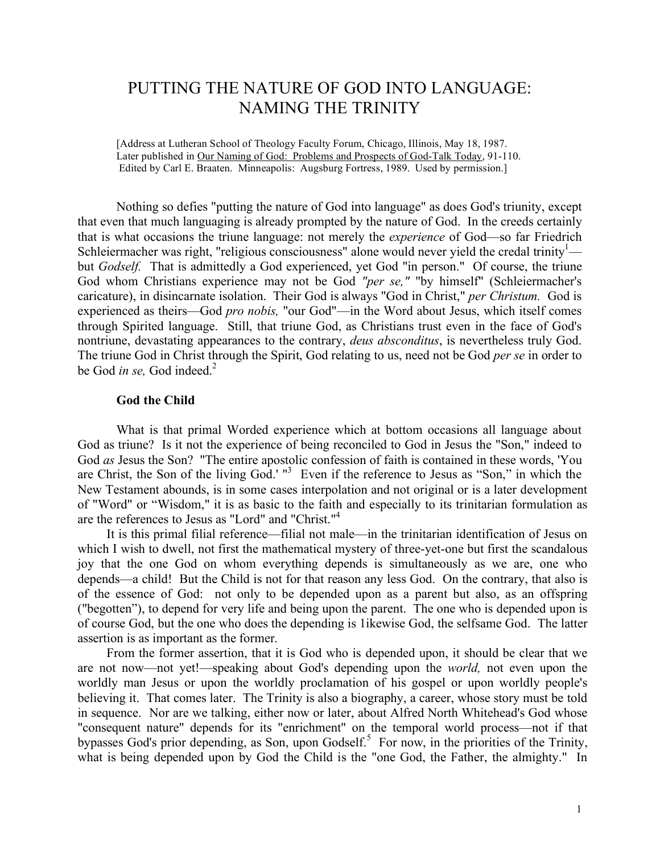# PUTTING THE NATURE OF GOD INTO LANGUAGE: NAMING THE TRINITY

[Address at Lutheran School of Theology Faculty Forum, Chicago, Illinois, May 18, 1987. Later published in Our Naming of God: Problems and Prospects of God-Talk Today, 91-110. Edited by Carl E. Braaten. Minneapolis: Augsburg Fortress, 1989. Used by permission.]

Nothing so defies "putting the nature of God into language" as does God's triunity, except that even that much languaging is already prompted by the nature of God. In the creeds certainly that is what occasions the triune language: not merely the *experience* of God—so far Friedrich Schleiermacher was right, "religious consciousness" alone would never yield the credal trinity<sup>1</sup> but *Godself.* That is admittedly a God experienced, yet God "in person." Of course, the triune God whom Christians experience may not be God *"per se,"* "by himself" (Schleiermacher's caricature), in disincarnate isolation. Their God is always "God in Christ," *per Christum.* God is experienced as theirs—God *pro nobis,* "our God"—in the Word about Jesus, which itself comes through Spirited language. Still, that triune God, as Christians trust even in the face of God's nontriune, devastating appearances to the contrary, *deus absconditus*, is nevertheless truly God. The triune God in Christ through the Spirit, God relating to us, need not be God *per se* in order to be God *in se,* God indeed.2

#### **God the Child**

What is that primal Worded experience which at bottom occasions all language about God as triune? Is it not the experience of being reconciled to God in Jesus the "Son," indeed to God *as* Jesus the Son? "The entire apostolic confession of faith is contained in these words, 'You are Christ, the Son of the living God.' "<sup>3</sup> Even if the reference to Jesus as "Son," in which the New Testament abounds, is in some cases interpolation and not original or is a later development of "Word" or "Wisdom," it is as basic to the faith and especially to its trinitarian formulation as are the references to Jesus as "Lord" and "Christ."<sup>4</sup>

It is this primal filial reference—filial not male—in the trinitarian identification of Jesus on which I wish to dwell, not first the mathematical mystery of three-yet-one but first the scandalous joy that the one God on whom everything depends is simultaneously as we are, one who depends—a child! But the Child is not for that reason any less God. On the contrary, that also is of the essence of God: not only to be depended upon as a parent but also, as an offspring ("begotten"), to depend for very life and being upon the parent. The one who is depended upon is of course God, but the one who does the depending is 1ikewise God, the selfsame God. The latter assertion is as important as the former.

From the former assertion, that it is God who is depended upon, it should be clear that we are not now—not yet!—speaking about God's depending upon the *world,* not even upon the worldly man Jesus or upon the worldly proclamation of his gospel or upon worldly people's believing it. That comes later. The Trinity is also a biography, a career, whose story must be told in sequence. Nor are we talking, either now or later, about Alfred North Whitehead's God whose "consequent nature" depends for its "enrichment" on the temporal world process—not if that bypasses God's prior depending, as Son, upon Godself.<sup>5</sup> For now, in the priorities of the Trinity, what is being depended upon by God the Child is the "one God, the Father, the almighty." In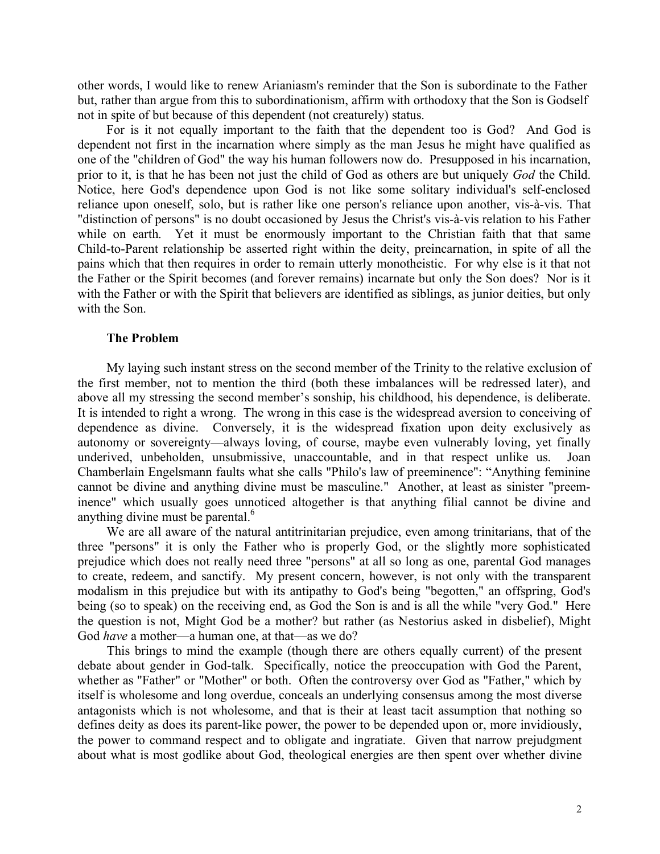other words, I would like to renew Arianiasm's reminder that the Son is subordinate to the Father but, rather than argue from this to subordinationism, affirm with orthodoxy that the Son is Godself not in spite of but because of this dependent (not creaturely) status.

For is it not equally important to the faith that the dependent too is God? And God is dependent not first in the incarnation where simply as the man Jesus he might have qualified as one of the "children of God" the way his human followers now do. Presupposed in his incarnation, prior to it, is that he has been not just the child of God as others are but uniquely *God* the Child. Notice, here God's dependence upon God is not like some solitary individual's self-enclosed reliance upon oneself, solo, but is rather like one person's reliance upon another, vis-à-vis. That "distinction of persons" is no doubt occasioned by Jesus the Christ's vis-à-vis relation to his Father while on earth. Yet it must be enormously important to the Christian faith that that same Child-to-Parent relationship be asserted right within the deity, preincarnation, in spite of all the pains which that then requires in order to remain utterly monotheistic. For why else is it that not the Father or the Spirit becomes (and forever remains) incarnate but only the Son does? Nor is it with the Father or with the Spirit that believers are identified as siblings, as junior deities, but only with the Son.

## **The Problem**

My laying such instant stress on the second member of the Trinity to the relative exclusion of the first member, not to mention the third (both these imbalances will be redressed later), and above all my stressing the second member's sonship, his childhood, his dependence, is deliberate. It is intended to right a wrong. The wrong in this case is the widespread aversion to conceiving of dependence as divine. Conversely, it is the widespread fixation upon deity exclusively as autonomy or sovereignty—always loving, of course, maybe even vulnerably loving, yet finally underived, unbeholden, unsubmissive, unaccountable, and in that respect unlike us. Joan Chamberlain Engelsmann faults what she calls "Philo's law of preeminence": "Anything feminine cannot be divine and anything divine must be masculine." Another, at least as sinister "preeminence" which usually goes unnoticed altogether is that anything filial cannot be divine and anything divine must be parental. 6

We are all aware of the natural antitrinitarian prejudice, even among trinitarians, that of the three "persons" it is only the Father who is properly God, or the slightly more sophisticated prejudice which does not really need three "persons" at all so long as one, parental God manages to create, redeem, and sanctify. My present concern, however, is not only with the transparent modalism in this prejudice but with its antipathy to God's being "begotten," an offspring, God's being (so to speak) on the receiving end, as God the Son is and is all the while "very God." Here the question is not, Might God be a mother? but rather (as Nestorius asked in disbelief), Might God *have* a mother—a human one, at that—as we do?

This brings to mind the example (though there are others equally current) of the present debate about gender in God-talk. Specifically, notice the preoccupation with God the Parent, whether as "Father" or "Mother" or both. Often the controversy over God as "Father," which by itself is wholesome and long overdue, conceals an underlying consensus among the most diverse antagonists which is not wholesome, and that is their at least tacit assumption that nothing so defines deity as does its parent-like power, the power to be depended upon or, more invidiously, the power to command respect and to obligate and ingratiate. Given that narrow prejudgment about what is most godlike about God, theological energies are then spent over whether divine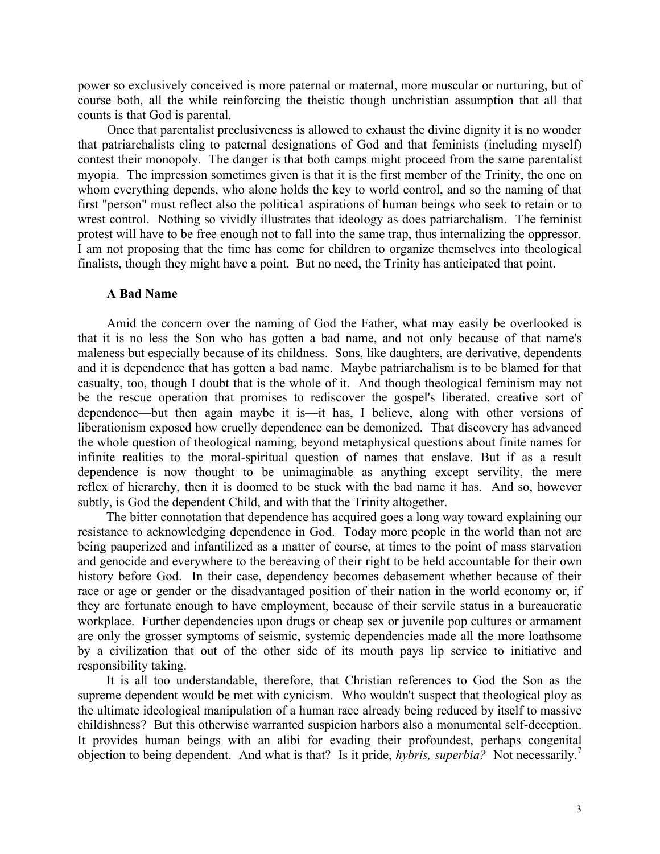power so exclusively conceived is more paternal or maternal, more muscular or nurturing, but of course both, all the while reinforcing the theistic though unchristian assumption that all that counts is that God is parental.

Once that parentalist preclusiveness is allowed to exhaust the divine dignity it is no wonder that patriarchalists cling to paternal designations of God and that feminists (including myself) contest their monopoly. The danger is that both camps might proceed from the same parentalist myopia. The impression sometimes given is that it is the first member of the Trinity, the one on whom everything depends, who alone holds the key to world control, and so the naming of that first "person" must reflect also the politica1 aspirations of human beings who seek to retain or to wrest control. Nothing so vividly illustrates that ideology as does patriarchalism. The feminist protest will have to be free enough not to fall into the same trap, thus internalizing the oppressor. I am not proposing that the time has come for children to organize themselves into theological finalists, though they might have a point. But no need, the Trinity has anticipated that point.

## **A Bad Name**

Amid the concern over the naming of God the Father, what may easily be overlooked is that it is no less the Son who has gotten a bad name, and not only because of that name's maleness but especially because of its childness. Sons, like daughters, are derivative, dependents and it is dependence that has gotten a bad name. Maybe patriarchalism is to be blamed for that casualty, too, though I doubt that is the whole of it. And though theological feminism may not be the rescue operation that promises to rediscover the gospel's liberated, creative sort of dependence—but then again maybe it is—it has, I believe, along with other versions of liberationism exposed how cruelly dependence can be demonized. That discovery has advanced the whole question of theological naming, beyond metaphysical questions about finite names for infinite realities to the moral-spiritual question of names that enslave. But if as a result dependence is now thought to be unimaginable as anything except servility, the mere reflex of hierarchy, then it is doomed to be stuck with the bad name it has. And so, however subtly, is God the dependent Child, and with that the Trinity altogether.

The bitter connotation that dependence has acquired goes a long way toward explaining our resistance to acknowledging dependence in God. Today more people in the world than not are being pauperized and infantilized as a matter of course, at times to the point of mass starvation and genocide and everywhere to the bereaving of their right to be held accountable for their own history before God. In their case, dependency becomes debasement whether because of their race or age or gender or the disadvantaged position of their nation in the world economy or, if they are fortunate enough to have employment, because of their servile status in a bureaucratic workplace. Further dependencies upon drugs or cheap sex or juvenile pop cultures or armament are only the grosser symptoms of seismic, systemic dependencies made all the more loathsome by a civilization that out of the other side of its mouth pays lip service to initiative and responsibility taking.

It is all too understandable, therefore, that Christian references to God the Son as the supreme dependent would be met with cynicism. Who wouldn't suspect that theological ploy as the ultimate ideological manipulation of a human race already being reduced by itself to massive childishness? But this otherwise warranted suspicion harbors also a monumental self-deception. It provides human beings with an alibi for evading their profoundest, perhaps congenital objection to being dependent. And what is that? Is it pride, *hybris, superbia?* Not necessarily. 7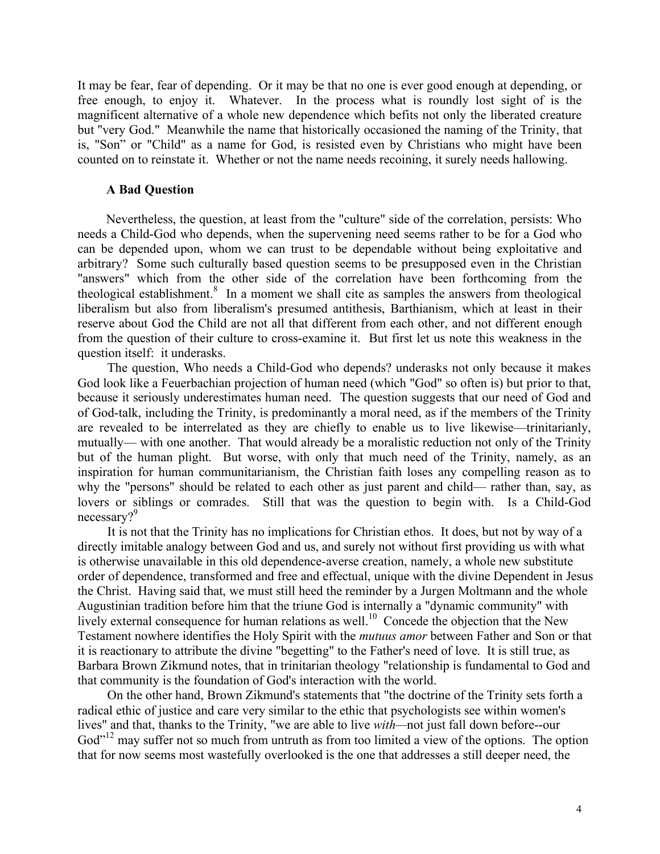It may be fear, fear of depending. Or it may be that no one is ever good enough at depending, or free enough, to enjoy it. Whatever. In the process what is roundly lost sight of is the magnificent alternative of a whole new dependence which befits not only the liberated creature but ''very God." Meanwhile the name that historically occasioned the naming of the Trinity, that is, "Son" or "Child" as a name for God, is resisted even by Christians who might have been counted on to reinstate it. Whether or not the name needs recoining, it surely needs hallowing.

#### **A Bad Question**

Nevertheless, the question, at least from the "culture" side of the correlation, persists: Who needs a Child-God who depends, when the supervening need seems rather to be for a God who can be depended upon, whom we can trust to be dependable without being exploitative and arbitrary? Some such culturally based question seems to be presupposed even in the Christian "answers" which from the other side of the correlation have been forthcoming from the theological establishment. <sup>8</sup> In a moment we shall cite as samples the answers from theological liberalism but also from liberalism's presumed antithesis, Barthianism, which at least in their reserve about God the Child are not all that different from each other, and not different enough from the question of their culture to cross-examine it. But first let us note this weakness in the question itself: it underasks.

The question, Who needs a Child-God who depends? underasks not only because it makes God look like a Feuerbachian projection of human need (which "God" so often is) but prior to that, because it seriously underestimates human need. The question suggests that our need of God and of God-talk, including the Trinity, is predominantly a moral need, as if the members of the Trinity are revealed to be interrelated as they are chiefly to enable us to live likewise—trinitarianly, mutually— with one another. That would already be a moralistic reduction not only of the Trinity but of the human plight. But worse, with only that much need of the Trinity, namely, as an inspiration for human communitarianism, the Christian faith loses any compelling reason as to why the "persons" should be related to each other as just parent and child— rather than, say, as lovers or siblings or comrades. Still that was the question to begin with. Is a Child-God necessary?<sup>9</sup>

It is not that the Trinity has no implications for Christian ethos. It does, but not by way of a directly imitable analogy between God and us, and surely not without first providing us with what is otherwise unavailable in this old dependence-averse creation, namely, a whole new substitute order of dependence, transformed and free and effectual, unique with the divine Dependent in Jesus the Christ. Having said that, we must still heed the reminder by a Jurgen Moltmann and the whole Augustinian tradition before him that the triune God is internally a "dynamic community" with lively external consequence for human relations as well.<sup>10</sup> Concede the objection that the New Testament nowhere identifies the Holy Spirit with the *mutuus amor* between Father and Son or that it is reactionary to attribute the divine "begetting" to the Father's need of love. It is still true, as Barbara Brown Zikmund notes, that in trinitarian theology "relationship is fundamental to God and that community is the foundation of God's interaction with the world.

On the other hand, Brown Zikmund's statements that "the doctrine of the Trinity sets forth a radical ethic of justice and care very similar to the ethic that psychologists see within women's lives" and that, thanks to the Trinity, "we are able to live *with—*not just fall down before--our God"<sup>12</sup> may suffer not so much from untruth as from too limited a view of the options. The option that for now seems most wastefully overlooked is the one that addresses a still deeper need, the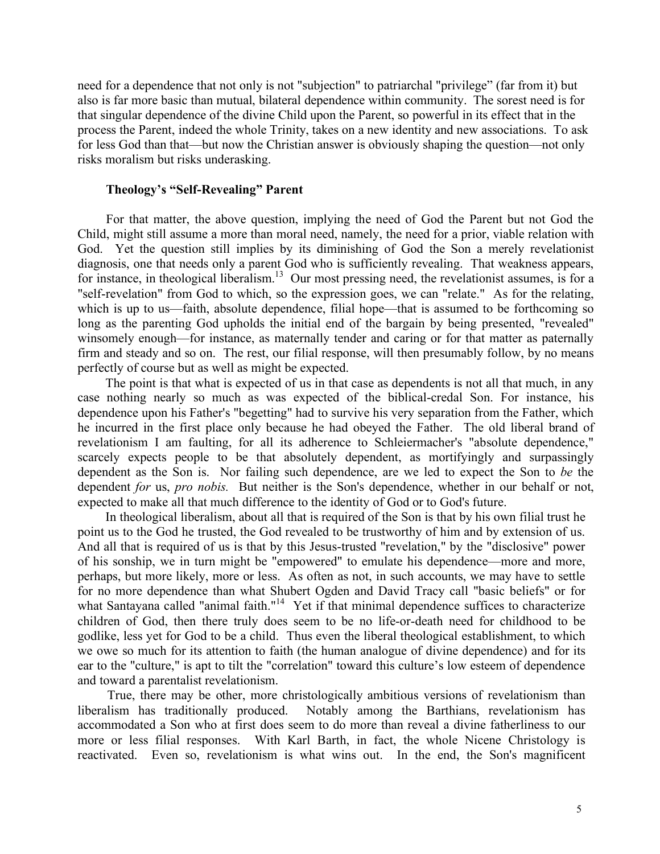need for a dependence that not only is not "subjection" to patriarchal "privilege" (far from it) but also is far more basic than mutual, bilateral dependence within community. The sorest need is for that singular dependence of the divine Child upon the Parent, so powerful in its effect that in the process the Parent, indeed the whole Trinity, takes on a new identity and new associations. To ask for less God than that—but now the Christian answer is obviously shaping the question—not only risks moralism but risks underasking.

### **Theology's "Self-Revealing" Parent**

For that matter, the above question, implying the need of God the Parent but not God the Child, might still assume a more than moral need, namely, the need for a prior, viable relation with God. Yet the question still implies by its diminishing of God the Son a merely revelationist diagnosis, one that needs only a parent God who is sufficiently revealing. That weakness appears, for instance, in theological liberalism.<sup>13</sup> Our most pressing need, the revelationist assumes, is for a "self-revelation" from God to which, so the expression goes, we can "relate." As for the relating, which is up to us—faith, absolute dependence, filial hope—that is assumed to be forthcoming so long as the parenting God upholds the initial end of the bargain by being presented, "revealed" winsomely enough—for instance, as maternally tender and caring or for that matter as paternally firm and steady and so on. The rest, our filial response, will then presumably follow, by no means perfectly of course but as well as might be expected.

The point is that what is expected of us in that case as dependents is not all that much, in any case nothing nearly so much as was expected of the biblical-credal Son. For instance, his dependence upon his Father's "begetting" had to survive his very separation from the Father, which he incurred in the first place only because he had obeyed the Father. The old liberal brand of revelationism I am faulting, for all its adherence to Schleiermacher's "absolute dependence," scarcely expects people to be that absolutely dependent, as mortifyingly and surpassingly dependent as the Son is. Nor failing such dependence, are we led to expect the Son to *be* the dependent *for* us, *pro nobis.* But neither is the Son's dependence, whether in our behalf or not, expected to make all that much difference to the identity of God or to God's future.

In theological liberalism, about all that is required of the Son is that by his own filial trust he point us to the God he trusted, the God revealed to be trustworthy of him and by extension of us. And all that is required of us is that by this Jesus-trusted "revelation," by the "disclosive" power of his sonship, we in turn might be "empowered" to emulate his dependence—more and more, perhaps, but more likely, more or less. As often as not, in such accounts, we may have to settle for no more dependence than what Shubert Ogden and David Tracy call "basic beliefs" or for what Santayana called "animal faith."<sup>14</sup> Yet if that minimal dependence suffices to characterize children of God, then there truly does seem to be no life-or-death need for childhood to be godlike, less yet for God to be a child. Thus even the liberal theological establishment, to which we owe so much for its attention to faith (the human analogue of divine dependence) and for its ear to the "culture," is apt to tilt the "correlation" toward this culture's low esteem of dependence and toward a parentalist revelationism.

True, there may be other, more christologically ambitious versions of revelationism than liberalism has traditionally produced. Notably among the Barthians, revelationism has accommodated a Son who at first does seem to do more than reveal a divine fatherliness to our more or less filial responses. With Karl Barth, in fact, the whole Nicene Christology is reactivated. Even so, revelationism is what wins out. In the end, the Son's magnificent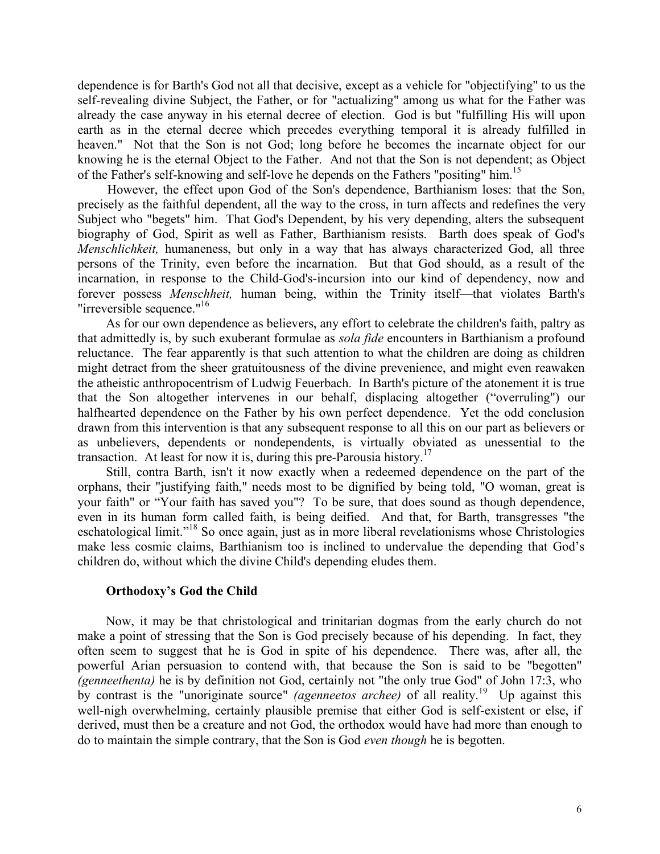dependence is for Barth's God not all that decisive, except as a vehicle for "objectifying" to us the self-revealing divine Subject, the Father, or for "actualizing" among us what for the Father was already the case anyway in his eternal decree of election. God is but "fulfilling His will upon earth as in the eternal decree which precedes everything temporal it is already fulfilled in heaven." Not that the Son is not God; long before he becomes the incarnate object for our knowing he is the eternal Object to the Father. And not that the Son is not dependent; as Object of the Father's self-knowing and self-love he depends on the Fathers "positing" him.<sup>15</sup>

However, the effect upon God of the Son's dependence, Barthianism loses: that the Son, precisely as the faithful dependent, all the way to the cross, in turn affects and redefines the very Subject who "begets" him. That God's Dependent, by his very depending, alters the subsequent biography of God, Spirit as well as Father, Barthianism resists. Barth does speak of God's *Menschlichkeit,* humaneness, but only in a way that has always characterized God, all three persons of the Trinity, even before the incarnation. But that God should, as a result of the incarnation, in response to the Child-God's-incursion into our kind of dependency, now and forever possess *Menschheit,* human being, within the Trinity itself—that violates Barth's "irreversible sequence."<sup>16</sup>

As for our own dependence as believers, any effort to celebrate the children's faith, paltry as that admittedly is, by such exuberant formulae as *sola fide* encounters in Barthianism a profound reluctance. The fear apparently is that such attention to what the children are doing as children might detract from the sheer gratuitousness of the divine prevenience, and might even reawaken the atheistic anthropocentrism of Ludwig Feuerbach. In Barth's picture of the atonement it is true that the Son altogether intervenes in our behalf, displacing altogether ("overruling") our halfhearted dependence on the Father by his own perfect dependence. Yet the odd conclusion drawn from this intervention is that any subsequent response to all this on our part as believers or as unbelievers, dependents or nondependents, is virtually obviated as unessential to the transaction. At least for now it is, during this pre-Parousia history.<sup>17</sup>

Still, contra Barth, isn't it now exactly when a redeemed dependence on the part of the orphans, their "justifying faith," needs most to be dignified by being told, "O woman, great is your faith" or "Your faith has saved you"? To be sure, that does sound as though dependence, even in its human form called faith, is being deified. And that, for Barth, transgresses "the eschatological limit."<sup>18</sup> So once again, just as in more liberal revelationisms whose Christologies make less cosmic claims, Barthianism too is inclined to undervalue the depending that God's children do, without which the divine Child's depending eludes them.

#### **Orthodoxy's God the Child**

Now, it may be that christological and trinitarian dogmas from the early church do not make a point of stressing that the Son is God precisely because of his depending. In fact, they often seem to suggest that he is God in spite of his dependence. There was, after all, the powerful Arian persuasion to contend with, that because the Son is said to be "begotten" *(genneethenta)* he is by definition not God, certainly not "the only true God" of John 17:3, who by contrast is the "unoriginate source" *(agenneetos archee)* of all reality. <sup>19</sup> Up against this well-nigh overwhelming, certainly plausible premise that either God is self-existent or else, if derived, must then be a creature and not God, the orthodox would have had more than enough to do to maintain the simple contrary, that the Son is God *even though* he is begotten.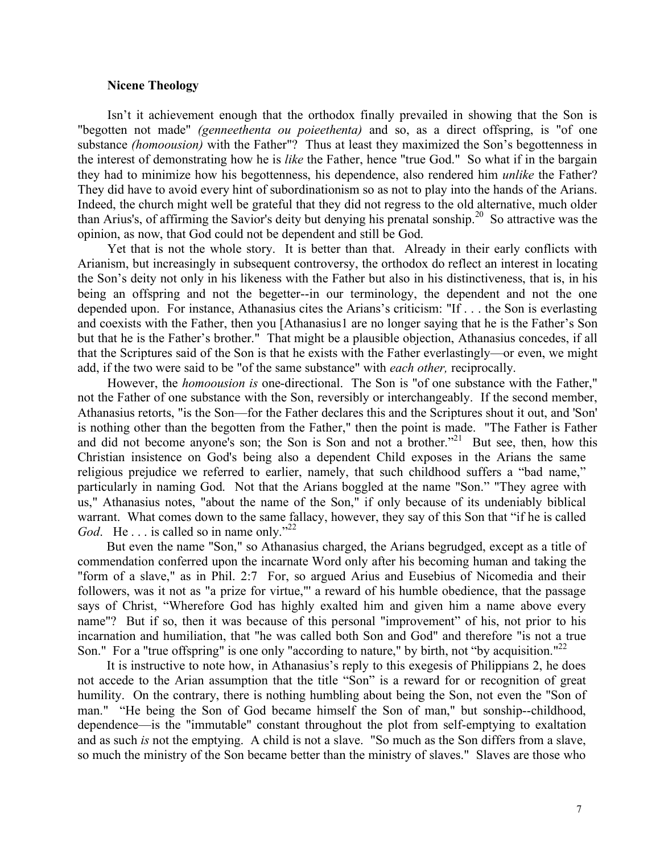## **Nicene Theology**

Isn't it achievement enough that the orthodox finally prevailed in showing that the Son is "begotten not made" *(genneethenta ou poieethenta)* and so, as a direct offspring, is "of one substance *(homoousion)* with the Father"? Thus at least they maximized the Son's begottenness in the interest of demonstrating how he is *like* the Father, hence "true God." So what if in the bargain they had to minimize how his begottenness, his dependence, also rendered him *unlike* the Father? They did have to avoid every hint of subordinationism so as not to play into the hands of the Arians. Indeed, the church might well be grateful that they did not regress to the old alternative, much older than Arius's, of affirming the Savior's deity but denying his prenatal sonship.<sup>20</sup> So attractive was the opinion, as now, that God could not be dependent and still be God.

Yet that is not the whole story. It is better than that. Already in their early conflicts with Arianism, but increasingly in subsequent controversy, the orthodox do reflect an interest in locating the Son's deity not only in his likeness with the Father but also in his distinctiveness, that is, in his being an offspring and not the begetter--in our terminology, the dependent and not the one depended upon. For instance, Athanasius cites the Arians's criticism: "If . . . the Son is everlasting and coexists with the Father, then you [Athanasius1 are no longer saying that he is the Father's Son but that he is the Father's brother." That might be a plausible objection, Athanasius concedes, if all that the Scriptures said of the Son is that he exists with the Father everlastingly—or even, we might add, if the two were said to be "of the same substance" with *each other,* reciprocally.

However, the *homoousion is* one-directional. The Son is "of one substance with the Father," not the Father of one substance with the Son, reversibly or interchangeably. If the second member, Athanasius retorts, "is the Son—for the Father declares this and the Scriptures shout it out, and 'Son' is nothing other than the begotten from the Father," then the point is made. "The Father is Father and did not become anyone's son; the Son is Son and not a brother."<sup>21</sup> But see, then, how this Christian insistence on God's being also a dependent Child exposes in the Arians the same religious prejudice we referred to earlier, namely, that such childhood suffers a "bad name," particularly in naming God. Not that the Arians boggled at the name "Son." "They agree with us," Athanasius notes, "about the name of the Son," if only because of its undeniably biblical warrant. What comes down to the same fallacy, however, they say of this Son that "if he is called God. He . . . is called so in name only."<sup>22</sup>

But even the name "Son," so Athanasius charged, the Arians begrudged, except as a title of commendation conferred upon the incarnate Word only after his becoming human and taking the "form of a slave," as in Phil. 2:7 For, so argued Arius and Eusebius of Nicomedia and their followers, was it not as "a prize for virtue,"' a reward of his humble obedience, that the passage says of Christ, "Wherefore God has highly exalted him and given him a name above every name"? But if so, then it was because of this personal "improvement" of his, not prior to his incarnation and humiliation, that "he was called both Son and God" and therefore "is not a true Son." For a "true offspring" is one only "according to nature," by birth, not "by acquisition."<sup>22</sup>

It is instructive to note how, in Athanasius's reply to this exegesis of Philippians 2, he does not accede to the Arian assumption that the title "Son" is a reward for or recognition of great humility. On the contrary, there is nothing humbling about being the Son, not even the "Son of man." "He being the Son of God became himself the Son of man," but sonship--childhood, dependence—is the "immutable" constant throughout the plot from self-emptying to exaltation and as such *is* not the emptying. A child is not a slave. "So much as the Son differs from a slave, so much the ministry of the Son became better than the ministry of slaves." Slaves are those who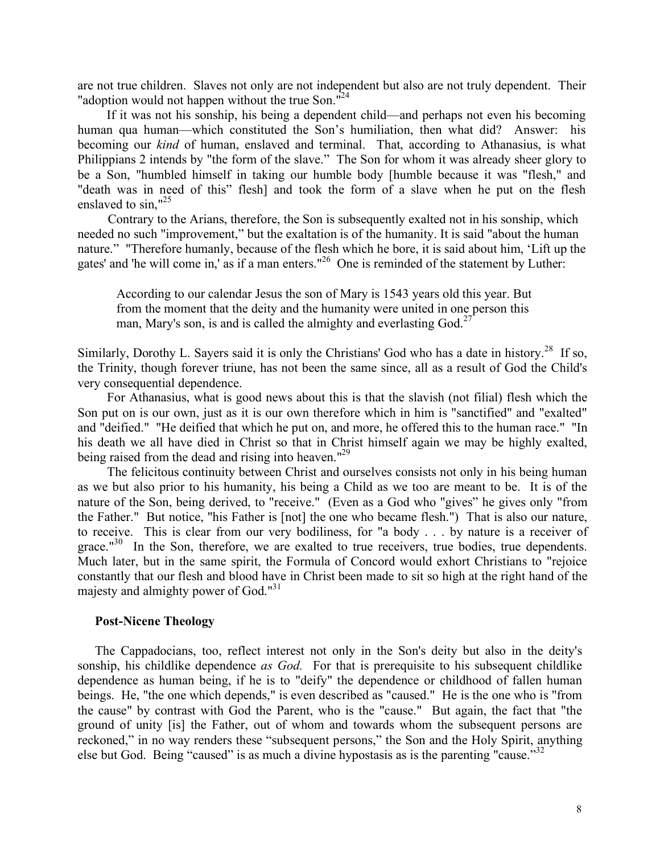are not true children. Slaves not only are not independent but also are not truly dependent. Their "adoption would not happen without the true Son."<sup>24</sup>

If it was not his sonship, his being a dependent child—and perhaps not even his becoming human qua human—which constituted the Son's humiliation, then what did? Answer: his becoming our *kind* of human, enslaved and terminal. That, according to Athanasius, is what Philippians 2 intends by "the form of the slave." The Son for whom it was already sheer glory to be a Son, "humbled himself in taking our humble body [humble because it was "flesh," and "death was in need of this" flesh] and took the form of a slave when he put on the flesh enslaved to sin,"<sup>25</sup>

Contrary to the Arians, therefore, the Son is subsequently exalted not in his sonship, which needed no such "improvement," but the exaltation is of the humanity. It is said "about the human nature." "Therefore humanly, because of the flesh which he bore, it is said about him, 'Lift up the gates' and 'he will come in,' as if a man enters."<sup>26</sup> One is reminded of the statement by Luther:

According to our calendar Jesus the son of Mary is 1543 years old this year. But from the moment that the deity and the humanity were united in one person this man, Mary's son, is and is called the almighty and everlasting  $God<sup>27</sup>$ 

Similarly, Dorothy L. Sayers said it is only the Christians' God who has a date in history.<sup>28</sup> If so, the Trinity, though forever triune, has not been the same since, all as a result of God the Child's very consequential dependence.

For Athanasius, what is good news about this is that the slavish (not filial) flesh which the Son put on is our own, just as it is our own therefore which in him is "sanctified" and "exalted" and "deified." "He deified that which he put on, and more, he offered this to the human race." "In his death we all have died in Christ so that in Christ himself again we may be highly exalted, being raised from the dead and rising into heaven."<sup>29</sup>

The felicitous continuity between Christ and ourselves consists not only in his being human as we but also prior to his humanity, his being a Child as we too are meant to be. It is of the nature of the Son, being derived, to "receive." (Even as a God who "gives" he gives only "from the Father." But notice, "his Father is [not] the one who became flesh.") That is also our nature, to receive. This is clear from our very bodiliness, for "a body . . . by nature is a receiver of grace." $30$  In the Son, therefore, we are exalted to true receivers, true bodies, true dependents. Much later, but in the same spirit, the Formula of Concord would exhort Christians to "rejoice constantly that our flesh and blood have in Christ been made to sit so high at the right hand of the majesty and almighty power of God."<sup>31</sup>

#### **Post-Nicene Theology**

The Cappadocians, too, reflect interest not only in the Son's deity but also in the deity's sonship, his childlike dependence *as God.* For that is prerequisite to his subsequent childlike dependence as human being, if he is to "deify" the dependence or childhood of fallen human beings. He, "the one which depends," is even described as "caused." He is the one who is "from the cause" by contrast with God the Parent, who is the "cause." But again, the fact that "the ground of unity [is] the Father, out of whom and towards whom the subsequent persons are reckoned," in no way renders these "subsequent persons," the Son and the Holy Spirit, anything else but God. Being "caused" is as much a divine hypostasis as is the parenting "cause."<sup>32</sup>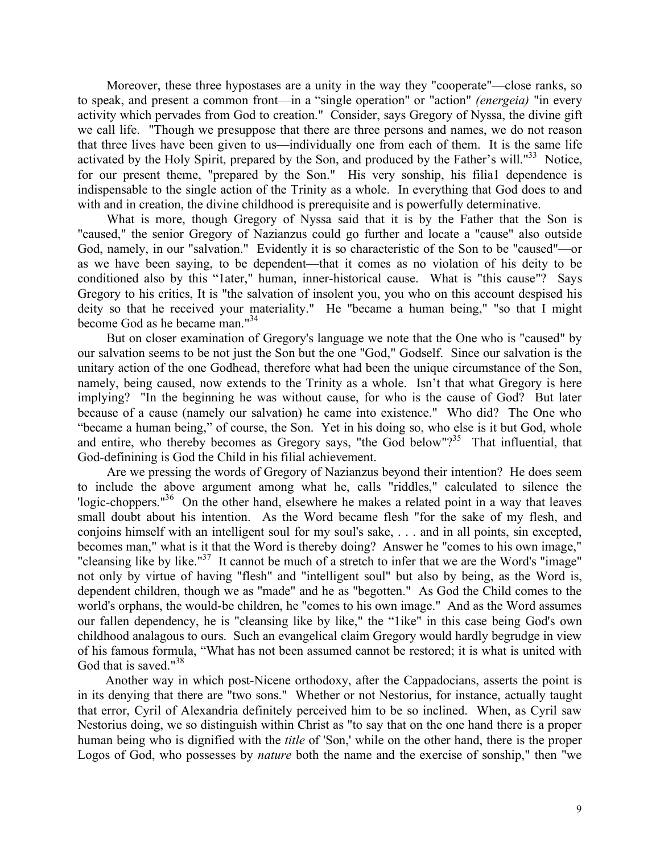Moreover, these three hypostases are a unity in the way they "cooperate"—close ranks, so to speak, and present a common front—in a "single operation" or "action" *(energeia)* "in every activity which pervades from God to creation." Consider, says Gregory of Nyssa, the divine gift we call life. "Though we presuppose that there are three persons and names, we do not reason that three lives have been given to us—individually one from each of them. It is the same life activated by the Holy Spirit, prepared by the Son, and produced by the Father's will."<sup>33</sup> Notice, for our present theme, "prepared by the Son." His very sonship, his filia1 dependence is indispensable to the single action of the Trinity as a whole. In everything that God does to and with and in creation, the divine childhood is prerequisite and is powerfully determinative.

What is more, though Gregory of Nyssa said that it is by the Father that the Son is "caused," the senior Gregory of Nazianzus could go further and locate a "cause" also outside God, namely, in our "salvation." Evidently it is so characteristic of the Son to be "caused"—or as we have been saying, to be dependent—that it comes as no violation of his deity to be conditioned also by this "1ater," human, inner-historical cause. What is "this cause"? Says Gregory to his critics, It is "the salvation of insolent you, you who on this account despised his deity so that he received your materiality." He "became a human being," "so that I might become God as he became man." 34

But on closer examination of Gregory's language we note that the One who is "caused" by our salvation seems to be not just the Son but the one "God," Godself. Since our salvation is the unitary action of the one Godhead, therefore what had been the unique circumstance of the Son, namely, being caused, now extends to the Trinity as a whole. Isn't that what Gregory is here implying? "In the beginning he was without cause, for who is the cause of God? But later because of a cause (namely our salvation) he came into existence." Who did? The One who "became a human being," of course, the Son. Yet in his doing so, who else is it but God, whole and entire, who thereby becomes as Gregory says, "the God below"?<sup>35</sup> That influential, that God-definining is God the Child in his filial achievement.

Are we pressing the words of Gregory of Nazianzus beyond their intention? He does seem to include the above argument among what he, calls "riddles," calculated to silence the 'logic-choppers."<sup>36</sup> On the other hand, elsewhere he makes a related point in a way that leaves small doubt about his intention. As the Word became flesh "for the sake of my flesh, and conjoins himself with an intelligent soul for my soul's sake, . . . and in all points, sin excepted, becomes man," what is it that the Word is thereby doing? Answer he "comes to his own image," "cleansing like by like." $37$  It cannot be much of a stretch to infer that we are the Word's "image" not only by virtue of having "flesh" and "intelligent soul" but also by being, as the Word is, dependent children, though we as "made" and he as "begotten." As God the Child comes to the world's orphans, the would-be children, he "comes to his own image." And as the Word assumes our fallen dependency, he is "cleansing like by like," the "1ike" in this case being God's own childhood analagous to ours. Such an evangelical claim Gregory would hardly begrudge in view of his famous formula, "What has not been assumed cannot be restored; it is what is united with God that is saved."<sup>38</sup>

Another way in which post-Nicene orthodoxy, after the Cappadocians, asserts the point is in its denying that there are "two sons." Whether or not Nestorius, for instance, actually taught that error, Cyril of Alexandria definitely perceived him to be so inclined. When, as Cyril saw Nestorius doing, we so distinguish within Christ as "to say that on the one hand there is a proper human being who is dignified with the *title* of 'Son,' while on the other hand, there is the proper Logos of God, who possesses by *nature* both the name and the exercise of sonship," then "we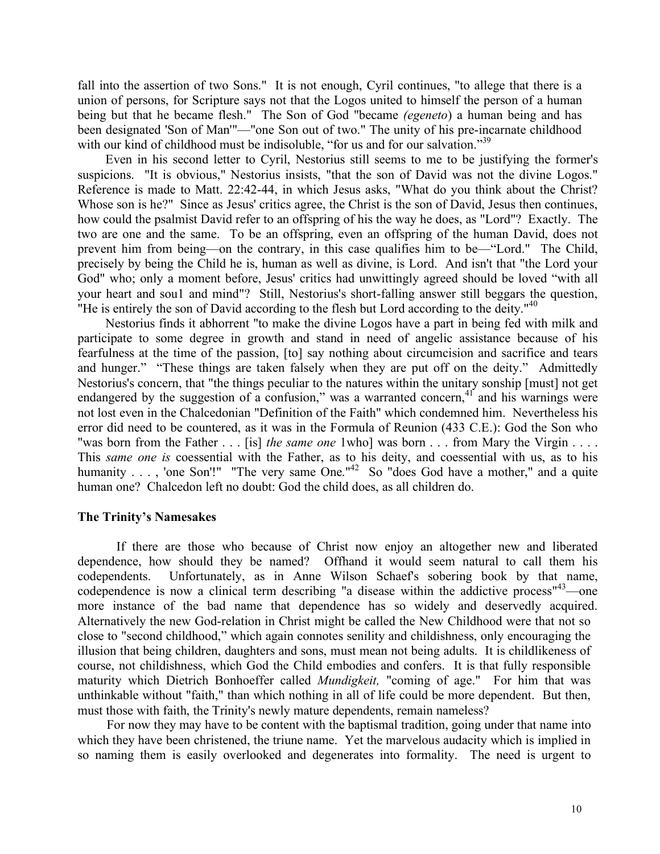fall into the assertion of two Sons." It is not enough, Cyril continues, "to allege that there is a union of persons, for Scripture says not that the Logos united to himself the person of a human being but that he became flesh." The Son of God "became *(egeneto*) a human being and has been designated 'Son of Man'"—"one Son out of two." The unity of his pre-incarnate childhood with our kind of childhood must be indisoluble, "for us and for our salvation."<sup>39</sup>

Even in his second letter to Cyril, Nestorius still seems to me to be justifying the former's suspicions. "It is obvious," Nestorius insists, "that the son of David was not the divine Logos." Reference is made to Matt. 22:42-44, in which Jesus asks, "What do you think about the Christ? Whose son is he?" Since as Jesus' critics agree, the Christ is the son of David, Jesus then continues, how could the psalmist David refer to an offspring of his the way he does, as "Lord"? Exactly. The two are one and the same. To be an offspring, even an offspring of the human David, does not prevent him from being—on the contrary, in this case qualifies him to be—"Lord." The Child, precisely by being the Child he is, human as well as divine, is Lord. And isn't that "the Lord your God" who; only a moment before, Jesus' critics had unwittingly agreed should be loved "with all your heart and sou1 and mind"? Still, Nestorius's short-falling answer still beggars the question, "He is entirely the son of David according to the flesh but Lord according to the deity." $40$ 

Nestorius finds it abhorrent "to make the divine Logos have a part in being fed with milk and participate to some degree in growth and stand in need of angelic assistance because of his fearfulness at the time of the passion, [to] say nothing about circumcision and sacrifice and tears and hunger." "These things are taken falsely when they are put off on the deity." Admittedly Nestorius's concern, that "the things peculiar to the natures within the unitary sonship [must] not get endangered by the suggestion of a confusion," was a warranted concern,<sup>41</sup> and his warnings were not lost even in the Chalcedonian "Definition of the Faith" which condemned him. Nevertheless his error did need to be countered, as it was in the Formula of Reunion (433 C.E.): God the Son who "was born from the Father . . . [is] *the same one* 1who] was born . . . from Mary the Virgin . . . . This *same one is* coessential with the Father, as to his deity, and coessential with us, as to his humanity . . . , 'one Son'!" "The very same One."<sup>42</sup> So "does God have a mother," and a quite human one? Chalcedon left no doubt: God the child does, as all children do.

#### **The Trinity's Namesakes**

If there are those who because of Christ now enjoy an altogether new and liberated dependence, how should they be named? Offhand it would seem natural to call them his codependents. Unfortunately, as in Anne Wilson Schaef's sobering book by that name, codependence is now a clinical term describing "a disease within the addictive process"<sup>43</sup>—one more instance of the bad name that dependence has so widely and deservedly acquired. Alternatively the new God-relation in Christ might be called the New Childhood were that not so close to "second childhood," which again connotes senility and childishness, only encouraging the illusion that being children, daughters and sons, must mean not being adults. It is childlikeness of course, not childishness, which God the Child embodies and confers. It is that fully responsible maturity which Dietrich Bonhoeffer called *Mundigkeit,* "coming of age." For him that was unthinkable without "faith," than which nothing in all of life could be more dependent. But then, must those with faith, the Trinity's newly mature dependents, remain nameless?

For now they may have to be content with the baptismal tradition, going under that name into which they have been christened, the triune name. Yet the marvelous audacity which is implied in so naming them is easily overlooked and degenerates into formality. The need is urgent to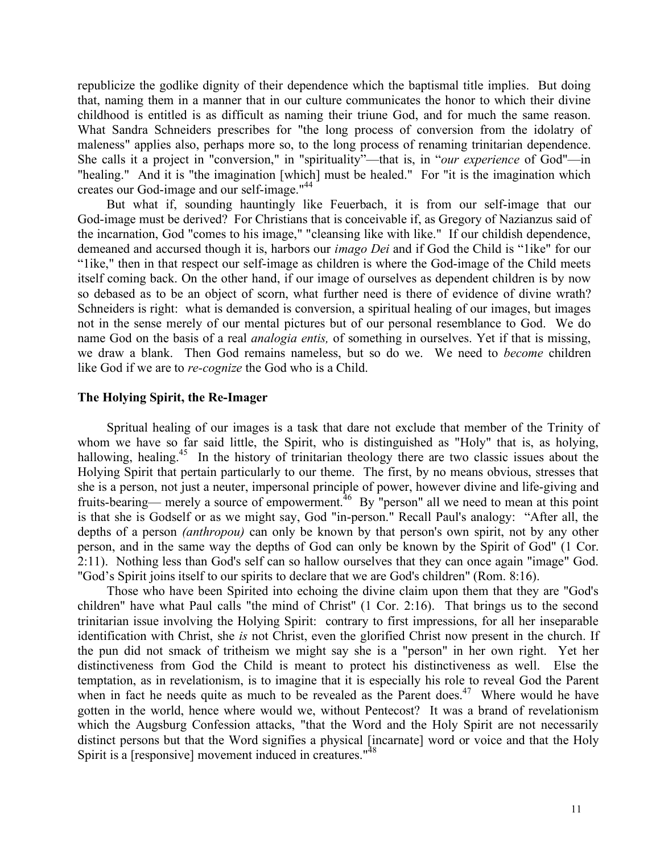republicize the godlike dignity of their dependence which the baptismal title implies. But doing that, naming them in a manner that in our culture communicates the honor to which their divine childhood is entitled is as difficult as naming their triune God, and for much the same reason. What Sandra Schneiders prescribes for "the long process of conversion from the idolatry of maleness" applies also, perhaps more so, to the long process of renaming trinitarian dependence. She calls it a project in "conversion," in "spirituality"—that is, in "*our experience* of God"—in "healing." And it is "the imagination [which] must be healed." For "it is the imagination which creates our God-image and our self-image." 44

But what if, sounding hauntingly like Feuerbach, it is from our self-image that our God-image must be derived? For Christians that is conceivable if, as Gregory of Nazianzus said of the incarnation, God "comes to his image," "cleansing like with like." If our childish dependence, demeaned and accursed though it is, harbors our *imago Dei* and if God the Child is "1ike" for our "1ike," then in that respect our self-image as children is where the God-image of the Child meets itself coming back. On the other hand, if our image of ourselves as dependent children is by now so debased as to be an object of scorn, what further need is there of evidence of divine wrath? Schneiders is right: what is demanded is conversion, a spiritual healing of our images, but images not in the sense merely of our mental pictures but of our personal resemblance to God. We do name God on the basis of a real *analogia entis,* of something in ourselves. Yet if that is missing, we draw a blank. Then God remains nameless, but so do we. We need to *become* children like God if we are to *re-cognize* the God who is a Child.

#### **The Holying Spirit, the Re-Imager**

Spritual healing of our images is a task that dare not exclude that member of the Trinity of whom we have so far said little, the Spirit, who is distinguished as "Holy" that is, as holying, hallowing, healing.<sup>45</sup> In the history of trinitarian theology there are two classic issues about the Holying Spirit that pertain particularly to our theme. The first, by no means obvious, stresses that she is a person, not just a neuter, impersonal principle of power, however divine and life-giving and fruits-bearing— merely a source of empowerment.<sup>46</sup> By "person" all we need to mean at this point is that she is Godself or as we might say, God "in-person." Recall Paul's analogy: "After all, the depths of a person *(anthropou)* can only be known by that person's own spirit, not by any other person, and in the same way the depths of God can only be known by the Spirit of God" (1 Cor. 2:11). Nothing less than God's self can so hallow ourselves that they can once again "image" God. "God's Spirit joins itself to our spirits to declare that we are God's children" (Rom. 8:16).

Those who have been Spirited into echoing the divine claim upon them that they are "God's children" have what Paul calls "the mind of Christ'' (1 Cor. 2:16). That brings us to the second trinitarian issue involving the Holying Spirit: contrary to first impressions, for all her inseparable identification with Christ, she *is* not Christ, even the glorified Christ now present in the church. If the pun did not smack of tritheism we might say she is a "person" in her own right. Yet her distinctiveness from God the Child is meant to protect his distinctiveness as well. Else the temptation, as in revelationism, is to imagine that it is especially his role to reveal God the Parent when in fact he needs quite as much to be revealed as the Parent does.<sup>47</sup> Where would he have gotten in the world, hence where would we, without Pentecost? It was a brand of revelationism which the Augsburg Confession attacks, "that the Word and the Holy Spirit are not necessarily distinct persons but that the Word signifies a physical [incarnate] word or voice and that the Holy Spirit is a [responsive] movement induced in creatures."<sup>48</sup>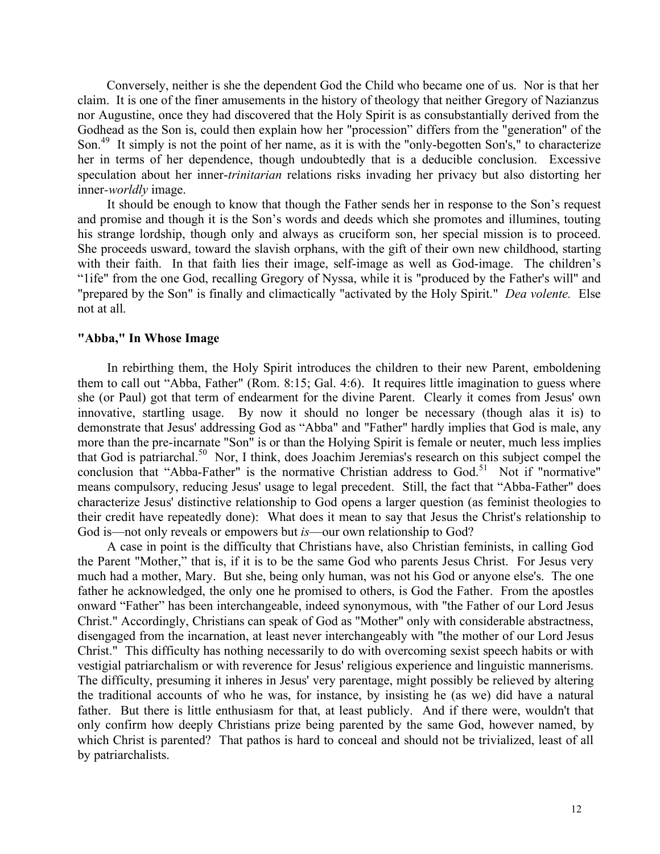Conversely, neither is she the dependent God the Child who became one of us. Nor is that her claim. It is one of the finer amusements in the history of theology that neither Gregory of Nazianzus nor Augustine, once they had discovered that the Holy Spirit is as consubstantially derived from the Godhead as the Son is, could then explain how her "procession" differs from the "generation" of the Son.<sup>49</sup> It simply is not the point of her name, as it is with the "only-begotten Son's," to characterize her in terms of her dependence, though undoubtedly that is a deducible conclusion. Excessive speculation about her inner-*trinitarian* relations risks invading her privacy but also distorting her inner*-worldly* image.

It should be enough to know that though the Father sends her in response to the Son's request and promise and though it is the Son's words and deeds which she promotes and illumines, touting his strange lordship, though only and always as cruciform son, her special mission is to proceed. She proceeds usward, toward the slavish orphans, with the gift of their own new childhood, starting with their faith. In that faith lies their image, self-image as well as God-image. The children's "1ife" from the one God, recalling Gregory of Nyssa, while it is "produced by the Father's will" and "prepared by the Son" is finally and climactically "activated by the Holy Spirit." *Dea volente.* Else not at all.

## **"Abba," In Whose Image**

In rebirthing them, the Holy Spirit introduces the children to their new Parent, emboldening them to call out "Abba, Father" (Rom. 8:15; Gal. 4:6). It requires little imagination to guess where she (or Paul) got that term of endearment for the divine Parent. Clearly it comes from Jesus' own innovative, startling usage. By now it should no longer be necessary (though alas it is) to demonstrate that Jesus' addressing God as "Abba" and "Father" hardly implies that God is male, any more than the pre-incarnate "Son" is or than the Holying Spirit is female or neuter, much less implies that God is patriarchal.<sup>50</sup> Nor, I think, does Joachim Jeremias's research on this subject compel the conclusion that "Abba-Father" is the normative Christian address to God.<sup>51</sup> Not if "normative" means compulsory, reducing Jesus' usage to legal precedent. Still, the fact that "Abba-Father" does characterize Jesus' distinctive relationship to God opens a larger question (as feminist theologies to their credit have repeatedly done): What does it mean to say that Jesus the Christ's relationship to God is—not only reveals or empowers but *is*—our own relationship to God?

A case in point is the difficulty that Christians have, also Christian feminists, in calling God the Parent "Mother," that is, if it is to be the same God who parents Jesus Christ. For Jesus very much had a mother, Mary. But she, being only human, was not his God or anyone else's. The one father he acknowledged, the only one he promised to others, is God the Father. From the apostles onward "Father" has been interchangeable, indeed synonymous, with "the Father of our Lord Jesus Christ." Accordingly, Christians can speak of God as "Mother" only with considerable abstractness, disengaged from the incarnation, at least never interchangeably with "the mother of our Lord Jesus Christ." This difficulty has nothing necessarily to do with overcoming sexist speech habits or with vestigial patriarchalism or with reverence for Jesus' religious experience and linguistic mannerisms. The difficulty, presuming it inheres in Jesus' very parentage, might possibly be relieved by altering the traditional accounts of who he was, for instance, by insisting he (as we) did have a natural father. But there is little enthusiasm for that, at least publicly. And if there were, wouldn't that only confirm how deeply Christians prize being parented by the same God, however named, by which Christ is parented? That pathos is hard to conceal and should not be trivialized, least of all by patriarchalists.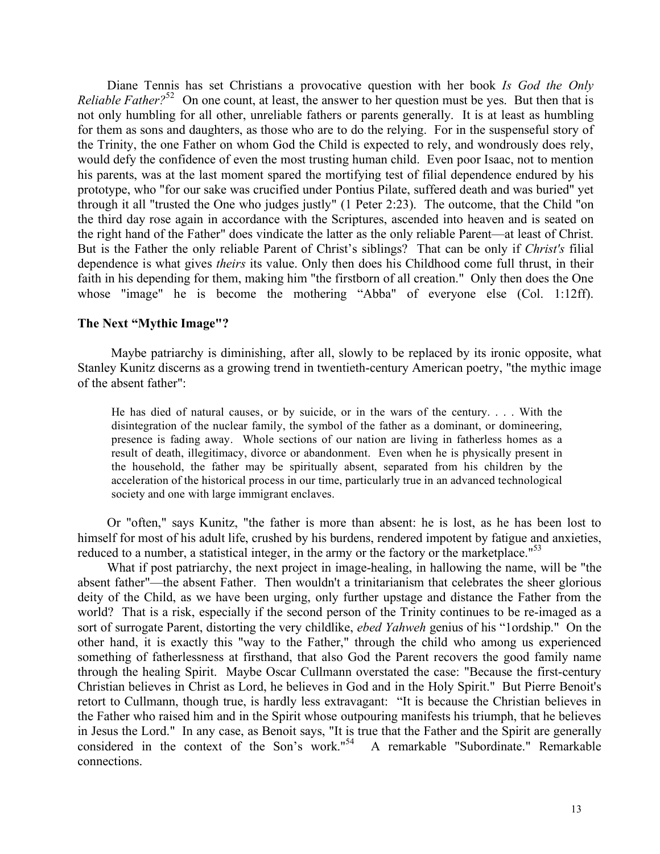Diane Tennis has set Christians a provocative question with her book *Is God the Only Reliable Father*?<sup>52</sup> On one count, at least, the answer to her question must be yes. But then that is not only humbling for all other, unreliable fathers or parents generally. It is at least as humbling for them as sons and daughters, as those who are to do the relying. For in the suspenseful story of the Trinity, the one Father on whom God the Child is expected to rely, and wondrously does rely, would defy the confidence of even the most trusting human child. Even poor Isaac, not to mention his parents, was at the last moment spared the mortifying test of filial dependence endured by his prototype, who "for our sake was crucified under Pontius Pilate, suffered death and was buried" yet through it all "trusted the One who judges justly" (1 Peter 2:23). The outcome, that the Child "on the third day rose again in accordance with the Scriptures, ascended into heaven and is seated on the right hand of the Father" does vindicate the latter as the only reliable Parent—at least of Christ. But is the Father the only reliable Parent of Christ's siblings? That can be only if *Christ's* filial dependence is what gives *theirs* its value. Only then does his Childhood come full thrust, in their faith in his depending for them, making him "the firstborn of all creation." Only then does the One whose "image" he is become the mothering "Abba" of everyone else (Col. 1:12ff).

## **The Next "Mythic Image"?**

Maybe patriarchy is diminishing, after all, slowly to be replaced by its ironic opposite, what Stanley Kunitz discerns as a growing trend in twentieth-century American poetry, "the mythic image of the absent father":

He has died of natural causes, or by suicide, or in the wars of the century. . . . With the disintegration of the nuclear family, the symbol of the father as a dominant, or domineering, presence is fading away. Whole sections of our nation are living in fatherless homes as a result of death, illegitimacy, divorce or abandonment. Even when he is physically present in the household, the father may be spiritually absent, separated from his children by the acceleration of the historical process in our time, particularly true in an advanced technological society and one with large immigrant enclaves.

Or "often," says Kunitz, "the father is more than absent: he is lost, as he has been lost to himself for most of his adult life, crushed by his burdens, rendered impotent by fatigue and anxieties, reduced to a number, a statistical integer, in the army or the factory or the marketplace."<sup>53</sup>

What if post patriarchy, the next project in image-healing, in hallowing the name, will be "the absent father"—the absent Father. Then wouldn't a trinitarianism that celebrates the sheer glorious deity of the Child, as we have been urging, only further upstage and distance the Father from the world? That is a risk, especially if the second person of the Trinity continues to be re-imaged as a sort of surrogate Parent, distorting the very childlike, *ebed Yahweh* genius of his "1ordship." On the other hand, it is exactly this "way to the Father," through the child who among us experienced something of fatherlessness at firsthand, that also God the Parent recovers the good family name through the healing Spirit. Maybe Oscar Cullmann overstated the case: "Because the first-century Christian believes in Christ as Lord, he believes in God and in the Holy Spirit." But Pierre Benoit's retort to Cullmann, though true, is hardly less extravagant: "It is because the Christian believes in the Father who raised him and in the Spirit whose outpouring manifests his triumph, that he believes in Jesus the Lord." In any case, as Benoit says, "It is true that the Father and the Spirit are generally considered in the context of the Son's work."<sup>54</sup> A remarkable "Subordinate." Remarkable connections.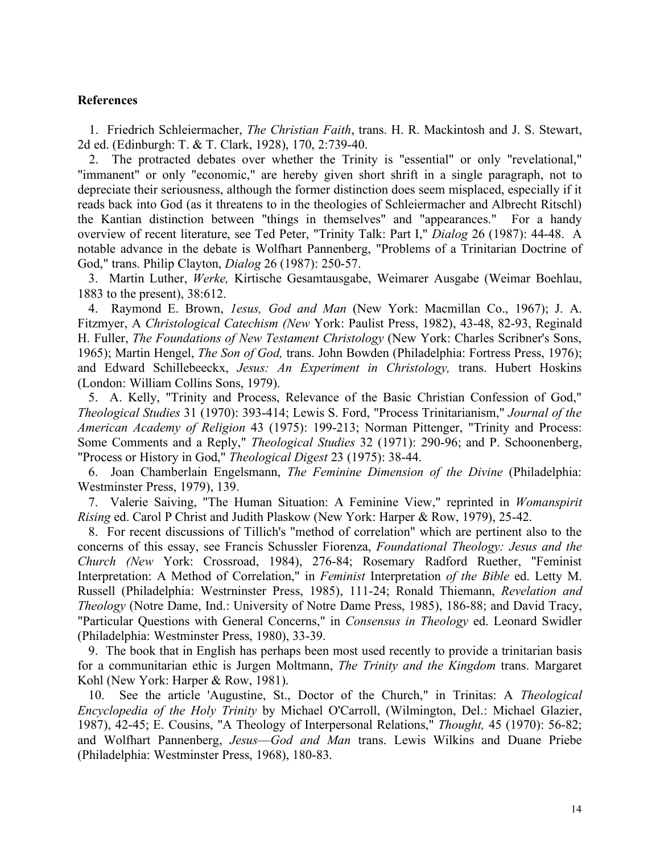## **References**

1. Friedrich Schleiermacher, *The Christian Faith*, trans. H. R. Mackintosh and J. S. Stewart, 2d ed. (Edinburgh: T. & T. Clark, 1928), 170, 2:739-40.

2. The protracted debates over whether the Trinity is "essential" or only "revelational," "immanent" or only "economic," are hereby given short shrift in a single paragraph, not to depreciate their seriousness, although the former distinction does seem misplaced, especially if it reads back into God (as it threatens to in the theologies of Schleiermacher and Albrecht Ritschl) the Kantian distinction between "things in themselves" and "appearances." For a handy overview of recent literature, see Ted Peter, "Trinity Talk: Part I," *Dialog* 26 (1987): 44-48. A notable advance in the debate is Wolfhart Pannenberg, "Problems of a Trinitarian Doctrine of God," trans. Philip Clayton, *Dialog* 26 (1987): 250-57.

3. Martin Luther, *Werke,* Kirtische Gesamtausgabe, Weimarer Ausgabe (Weimar Boehlau, 1883 to the present), 38:612.

4. Raymond E. Brown, *1esus, God and Man* (New York: Macmillan Co., 1967); J. A. Fitzmyer, A *Christological Catechism (New* York: Paulist Press, 1982), 43-48, 82-93, Reginald H. Fuller, *The Foundations of New Testament Christology* (New York: Charles Scribner's Sons, 1965); Martin Hengel, *The Son of God,* trans. John Bowden (Philadelphia: Fortress Press, 1976); and Edward Schillebeeckx, *Jesus: An Experiment in Christology,* trans. Hubert Hoskins (London: William Collins Sons, 1979).

5. A. Kelly, "Trinity and Process, Relevance of the Basic Christian Confession of God," *Theological Studies* 31 (1970): 393-414; Lewis S. Ford, "Process Trinitarianism," *Journal of the American Academy of Religion* 43 (1975): 199-213; Norman Pittenger, "Trinity and Process: Some Comments and a Reply," *Theological Studies* 32 (1971): 290-96; and P. Schoonenberg, "Process or History in God," *Theological Digest* 23 (1975): 38-44.

6. Joan Chamberlain Engelsmann, *The Feminine Dimension of the Divine* (Philadelphia: Westminster Press, 1979), 139.

7. Valerie Saiving, "The Human Situation: A Feminine View," reprinted in *Womanspirit Rising* ed. Carol P Christ and Judith Plaskow (New York: Harper & Row, 1979), 25-42.

8. For recent discussions of Tillich's "method of correlation" which are pertinent also to the concerns of this essay, see Francis Schussler Fiorenza, *Foundational Theology: Jesus and the Church (New* York: Crossroad, 1984), 276-84; Rosemary Radford Ruether, "Feminist Interpretation: A Method of Correlation," in *Feminist* Interpretation *of the Bible* ed. Letty M. Russell (Philadelphia: Westrninster Press, 1985), 111-24; Ronald Thiemann, *Revelation and Theology* (Notre Dame, Ind.: University of Notre Dame Press, 1985), 186-88; and David Tracy, "Particular Questions with General Concerns," in *Consensus in Theology* ed. Leonard Swidler (Philadelphia: Westminster Press, 1980), 33-39.

9. The book that in English has perhaps been most used recently to provide a trinitarian basis for a communitarian ethic is Jurgen Moltmann, *The Trinity and the Kingdom* trans. Margaret Kohl (New York: Harper & Row, 1981).

10. See the article 'Augustine, St., Doctor of the Church," in Trinitas: A *Theological Encyclopedia of the Holy Trinity* by Michael O'Carroll, (Wilmington, Del.: Michael Glazier, 1987), 42-45; E. Cousins, "A Theology of Interpersonal Relations," *Thought,* 45 (1970): 56-82; and Wolfhart Pannenberg, *Jesus*—*God and Man* trans. Lewis Wilkins and Duane Priebe (Philadelphia: Westminster Press, 1968), 180-83.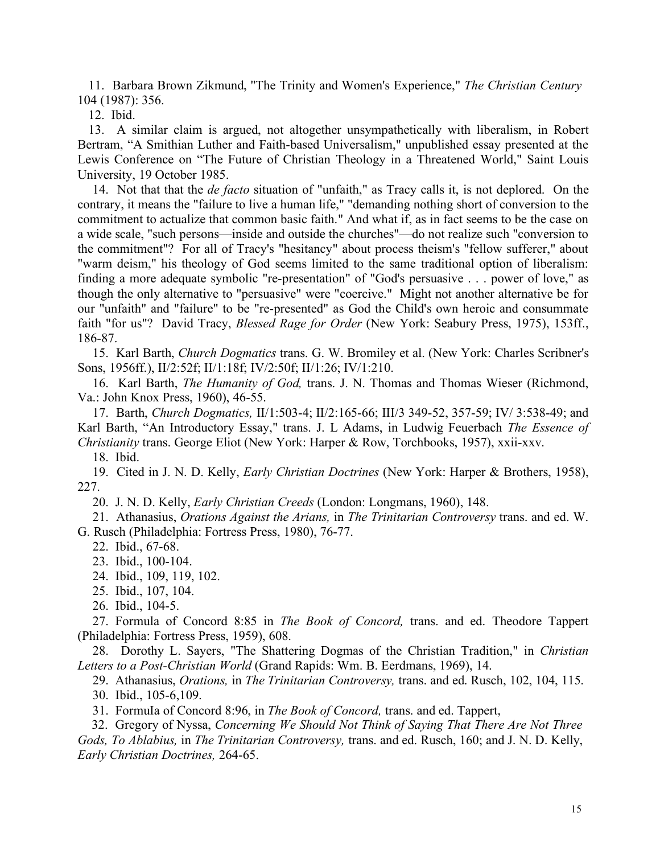11. Barbara Brown Zikmund, ''The Trinity and Women's Experience," *The Christian Century* 104 (1987): 356.

12. Ibid.

13. A similar claim is argued, not altogether unsympathetically with liberalism, in Robert Bertram, "A Smithian Luther and Faith-based Universalism," unpublished essay presented at the Lewis Conference on "The Future of Christian Theology in a Threatened World," Saint Louis University, 19 October 1985.

14. Not that that the *de facto* situation of "unfaith," as Tracy calls it, is not deplored. On the contrary, it means the "failure to live a human life," "demanding nothing short of conversion to the commitment to actualize that common basic faith." And what if, as in fact seems to be the case on a wide scale, "such persons—inside and outside the churches"—do not realize such "conversion to the commitment"? For all of Tracy's "hesitancy" about process theism's "fellow sufferer," about "warm deism," his theology of God seems limited to the same traditional option of liberalism: finding a more adequate symbolic "re-presentation" of "God's persuasive . . . power of love," as though the only alternative to "persuasive" were "coercive." Might not another alternative be for our "unfaith" and "failure" to be "re-presented" as God the Child's own heroic and consummate faith "for us"? David Tracy, *Blessed Rage for Order* (New York: Seabury Press, 1975), 153ff., 186-87.

15. Karl Barth, *Church Dogmatics* trans. G. W. Bromiley et al. (New York: Charles Scribner's Sons, 1956ff.), II/2:52f; II/1:18f; IV/2:50f; II/1:26; IV/1:210.

16. Karl Barth, *The Humanity of God,* trans. J. N. Thomas and Thomas Wieser (Richmond, Va.: John Knox Press, 1960), 46-55.

17. Barth, *Church Dogmatics,* II/1:503-4; II/2:165-66; III/3 349-52, 357-59; IV/ 3:538-49; and Karl Barth, "An Introductory Essay," trans. J. L Adams, in Ludwig Feuerbach *The Essence of Christianity* trans. George Eliot (New York: Harper & Row, Torchbooks, 1957), xxii-xxv.

18. Ibid.

19. Cited in J. N. D. Kelly, *Early Christian Doctrines* (New York: Harper & Brothers, 1958), 227.

20. J. N. D. Kelly, *Early Christian Creeds* (London: Longmans, 1960), 148.

21. Athanasius, *Orations Against the Arians,* in *The Trinitarian Controversy* trans. and ed. W. G. Rusch (Philadelphia: Fortress Press, 1980), 76-77.

22. Ibid., 67-68.

23. Ibid., 100-104.

24. Ibid., 109, 119, 102.

- 25. Ibid., 107, 104.
- 26. Ibid., 104-5.

27. Formula of Concord 8:85 in *The Book of Concord,* trans. and ed. Theodore Tappert (Philadelphia: Fortress Press, 1959), 608.

28. Dorothy L. Sayers, "The Shattering Dogmas of the Christian Tradition," in *Christian Letters to a Post-Christian World* (Grand Rapids: Wm. B. Eerdmans, 1969), 14.

29. Athanasius, *Orations,* in *The Trinitarian Controversy,* trans. and ed. Rusch, 102, 104, 115.

30. Ibid., 105-6,109.

31. FormuIa of Concord 8:96, in *The Book of Concord,* trans. and ed. Tappert,

32. Gregory of Nyssa, *Concerning We Should Not Think of Saying That There Are Not Three Gods, To Ablabius,* in *The Trinitarian Controversy,* trans. and ed. Rusch, 160; and J. N. D. Kelly, *Early Christian Doctrines,* 264-65.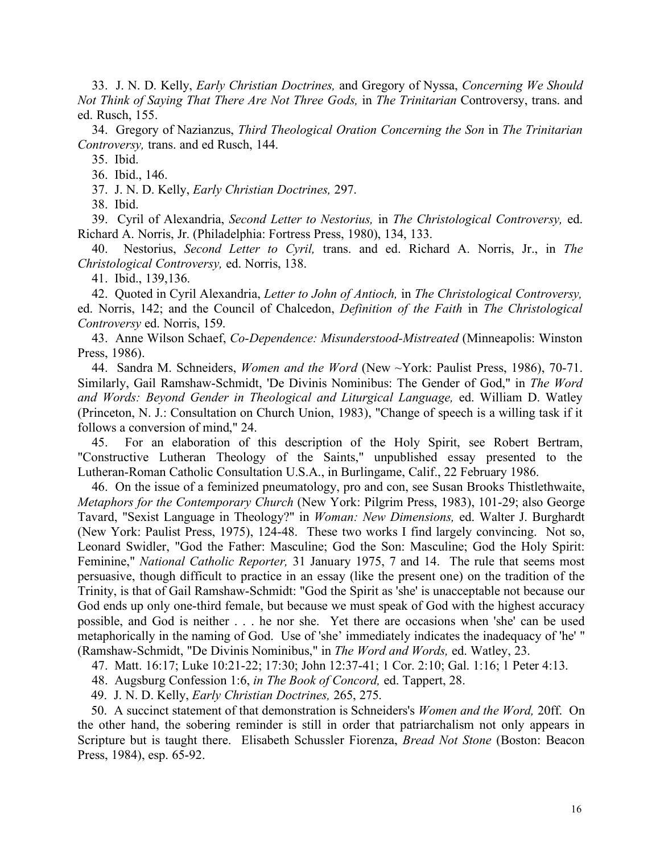33. J. N. D. Kelly, *Early Christian Doctrines,* and Gregory of Nyssa, *Concerning We Should Not Think of Saying That There Are Not Three Gods,* in *The Trinitarian* Controversy, trans. and ed. Rusch, 155.

34. Gregory of Nazianzus, *Third Theological Oration Concerning the Son* in *The Trinitarian Controversy,* trans. and ed Rusch, 144.

35. Ibid.

36. Ibid., 146.

37. J. N. D. Kelly, *Early Christian Doctrines,* 297.

38. Ibid.

39. Cyril of Alexandria, *Second Letter to Nestorius,* in *The Christological Controversy,* ed. Richard A. Norris, Jr. (Philadelphia: Fortress Press, 1980), 134, 133.

40. Nestorius, *Second Letter to Cyril,* trans. and ed. Richard A. Norris, Jr., in *The Christological Controversy,* ed. Norris, 138.

41. Ibid., 139,136.

42. Quoted in Cyril Alexandria, *Letter to John of Antioch,* in *The Christological Controversy,* ed. Norris, 142; and the Council of Chalcedon, *Definition of the Faith* in *The Christological Controversy* ed. Norris, 159.

43. Anne Wilson Schaef, *Co-Dependence: Misunderstood-Mistreated* (Minneapolis: Winston Press, 1986).

44. Sandra M. Schneiders, *Women and the Word* (New ~York: Paulist Press, 1986), 70-71. Similarly, Gail Ramshaw-Schmidt, 'De Divinis Nominibus: The Gender of God," in *The Word and Words: Beyond Gender in Theological and Liturgical Language,* ed. William D. Watley (Princeton, N. J.: Consultation on Church Union, 1983), "Change of speech is a willing task if it follows a conversion of mind," 24.

45. For an elaboration of this description of the Holy Spirit, see Robert Bertram, "Constructive Lutheran Theology of the Saints," unpublished essay presented to the Lutheran-Roman Catholic Consultation U.S.A., in Burlingame, Calif., 22 February 1986.

46. On the issue of a feminized pneumatology, pro and con, see Susan Brooks Thistlethwaite, *Metaphors for the Contemporary Church* (New York: Pilgrim Press, 1983), 101-29; also George Tavard, "Sexist Language in Theology?" in *Woman: New Dimensions,* ed. Walter J. Burghardt (New York: Paulist Press, 1975), 124-48. These two works I find largely convincing. Not so, Leonard Swidler, "God the Father: Masculine; God the Son: Masculine; God the Holy Spirit: Feminine," *National Catholic Reporter,* 31 January 1975, 7 and 14. The rule that seems most persuasive, though difficult to practice in an essay (like the present one) on the tradition of the Trinity, is that of Gail Ramshaw-Schmidt: "God the Spirit as 'she' is unacceptable not because our God ends up only one-third female, but because we must speak of God with the highest accuracy possible, and God is neither . . . he nor she. Yet there are occasions when 'she' can be used metaphorically in the naming of God. Use of 'she' immediately indicates the inadequacy of 'he' " (Ramshaw-Schmidt, "De Divinis Nominibus," in *The Word and Words,* ed. Watley, 23.

47. Matt. 16:17; Luke 10:21-22; 17:30; John 12:37-41; 1 Cor. 2:10; Gal. 1:16; 1 Peter 4:13.

48. Augsburg Confession 1:6, *in The Book of Concord,* ed. Tappert, 28.

49. J. N. D. Kelly, *Early Christian Doctrines,* 265, 275.

50. A succinct statement of that demonstration is Schneiders's *Women and the Word,* 20ff. On the other hand, the sobering reminder is still in order that patriarchalism not only appears in Scripture but is taught there. Elisabeth Schussler Fiorenza, *Bread Not Stone* (Boston: Beacon Press, 1984), esp. 65-92.